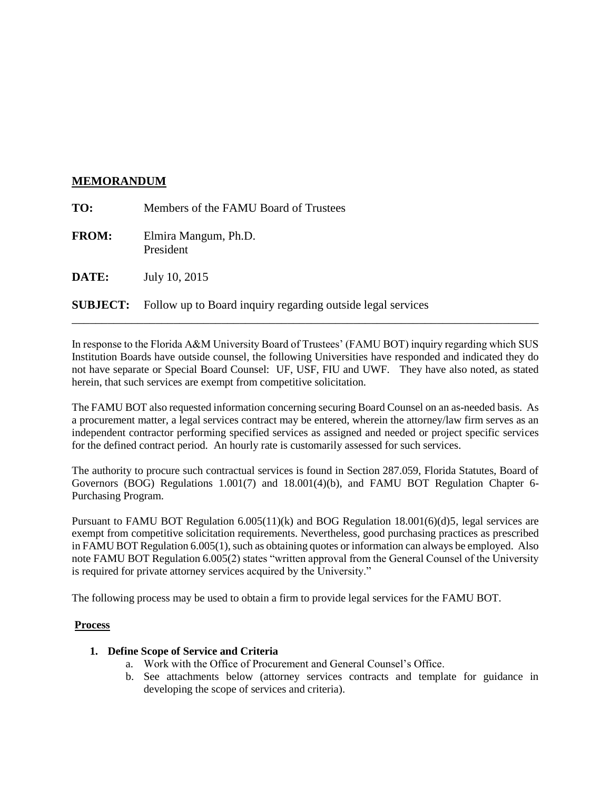### **MEMORANDUM**

| TO:          | Members of the FAMU Board of Trustees                                       |
|--------------|-----------------------------------------------------------------------------|
| <b>FROM:</b> | Elmira Mangum, Ph.D.<br>President                                           |
| <b>DATE:</b> | July 10, 2015                                                               |
|              | <b>SUBJECT:</b> Follow up to Board inquiry regarding outside legal services |

In response to the Florida A&M University Board of Trustees' (FAMU BOT) inquiry regarding which SUS Institution Boards have outside counsel, the following Universities have responded and indicated they do not have separate or Special Board Counsel: UF, USF, FIU and UWF. They have also noted, as stated herein, that such services are exempt from competitive solicitation.

\_\_\_\_\_\_\_\_\_\_\_\_\_\_\_\_\_\_\_\_\_\_\_\_\_\_\_\_\_\_\_\_\_\_\_\_\_\_\_\_\_\_\_\_\_\_\_\_\_\_\_\_\_\_\_\_\_\_\_\_\_\_\_\_\_\_\_\_\_\_\_\_\_\_\_\_\_\_

The FAMU BOT also requested information concerning securing Board Counsel on an as-needed basis. As a procurement matter, a legal services contract may be entered, wherein the attorney/law firm serves as an independent contractor performing specified services as assigned and needed or project specific services for the defined contract period. An hourly rate is customarily assessed for such services.

The authority to procure such contractual services is found in Section 287.059, Florida Statutes, Board of Governors (BOG) Regulations 1.001(7) and 18.001(4)(b), and FAMU BOT Regulation Chapter 6- Purchasing Program.

Pursuant to FAMU BOT Regulation 6.005(11)(k) and BOG Regulation 18.001(6)(d)5, legal services are exempt from competitive solicitation requirements. Nevertheless, good purchasing practices as prescribed in FAMU BOT Regulation 6.005(1), such as obtaining quotes or information can always be employed. Also note FAMU BOT Regulation 6.005(2) states "written approval from the General Counsel of the University is required for private attorney services acquired by the University."

The following process may be used to obtain a firm to provide legal services for the FAMU BOT.

## **Process**

## **1. Define Scope of Service and Criteria**

- a. Work with the Office of Procurement and General Counsel's Office.
- b. See attachments below (attorney services contracts and template for guidance in developing the scope of services and criteria).